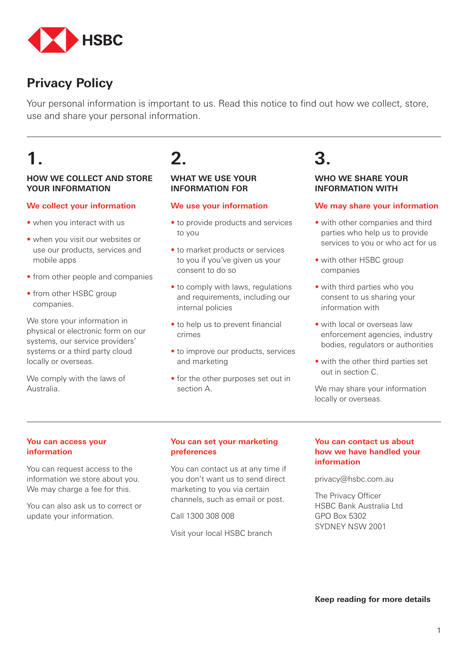

### **Privacy Policy**

Your personal information is important to us. Read this notice to find out how we collect, store, use and share your personal information.

# **1.**

#### **HOW WE COLLECT AND STORE YOUR INFORMATION**

#### **We collect your information**

- when you interact with us
- when you visit our websites or use our products, services and mobile apps
- from other people and companies
- from other HSBC group companies.

We store your information in physical or electronic form on our systems, our service providers' systems or a third party cloud locally or overseas.

We comply with the laws of Australia.

## **2.**

#### **WHAT WE USE YOUR INFORMATION FOR**

#### **We use your information**

- to provide products and services to you
- to market products or services to you if you've given us your consent to do so
- to comply with laws, regulations and requirements, including our internal policies
- to help us to prevent financial crimes
- to improve our products, services and marketing
- for the other purposes set out in section A.

## **3.**

#### **WHO WE SHARE YOUR INFORMATION WITH**

#### **We may share your information**

- with other companies and third parties who help us to provide services to you or who act for us
- with other HSBC group companies
- with third parties who you consent to us sharing your information with
- with local or overseas law enforcement agencies, industry bodies, regulators or authorities
- with the other third parties set out in section C.

We may share your information locally or overseas.

#### **You can access your information**

You can request access to the information we store about you. We may charge a fee for this.

You can also ask us to correct or update your information.

#### **You can set your marketing preferences**

You can contact us at any time if you don't want us to send direct marketing to you via certain channels, such as email or post.

Call 1300 308 008

Visit your local HSBC branch

#### **You can contact us about how we have handled your information**

privacy@hsbc.com.au

The Privacy Officer HSBC Bank Australia Ltd GPO Box 5302 SYDNEY NSW 2001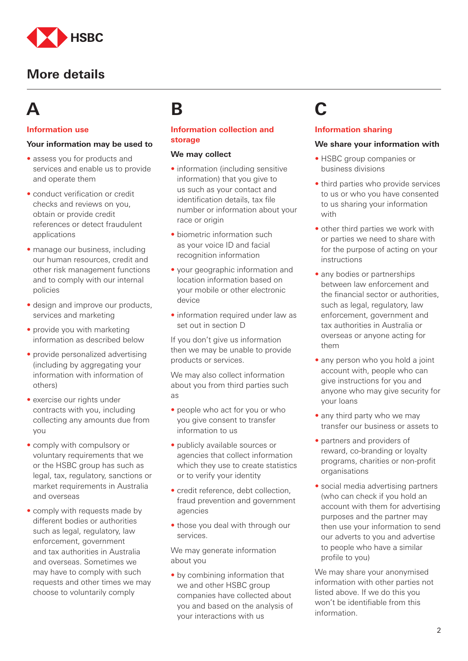

# **A**

#### **Information use**

#### **Your information may be used to**

- assess you for products and services and enable us to provide and operate them
- conduct verification or credit checks and reviews on you, obtain or provide credit references or detect fraudulent applications
- manage our business, including our human resources, credit and other risk management functions and to comply with our internal policies
- design and improve our products, services and marketing
- provide you with marketing information as described below
- provide personalized advertising (including by aggregating your information with information of others)
- exercise our rights under contracts with you, including collecting any amounts due from you
- comply with compulsory or voluntary requirements that we or the HSBC group has such as legal, tax, regulatory, sanctions or market requirements in Australia and overseas
- comply with requests made by different bodies or authorities such as legal, regulatory, law enforcement, government and tax authorities in Australia and overseas. Sometimes we may have to comply with such requests and other times we may choose to voluntarily comply

## **B**

#### **Information collection and storage**

#### **We may collect**

- information (including sensitive information) that you give to us such as your contact and identification details, tax file number or information about your race or origin
- biometric information such as your voice ID and facial recognition information
- your geographic information and location information based on your mobile or other electronic device
- information required under law as set out in section D

If you don't give us information then we may be unable to provide products or services.

We may also collect information about you from third parties such as

- people who act for you or who you give consent to transfer information to us
- publicly available sources or agencies that collect information which they use to create statistics or to verify your identity
- credit reference, debt collection, fraud prevention and government agencies
- those you deal with through our services.

We may generate information about you

• by combining information that we and other HSBC group companies have collected about you and based on the analysis of your interactions with us

# **C**

#### **Information sharing**

#### **We share your information with**

- HSBC group companies or business divisions
- third parties who provide services to us or who you have consented to us sharing your information with
- other third parties we work with or parties we need to share with for the purpose of acting on your instructions
- any bodies or partnerships between law enforcement and the financial sector or authorities, such as legal, regulatory, law enforcement, government and tax authorities in Australia or overseas or anyone acting for them
- any person who you hold a joint account with, people who can give instructions for you and anyone who may give security for your loans
- any third party who we may transfer our business or assets to
- partners and providers of reward, co-branding or loyalty programs, charities or non-profit organisations
- social media advertising partners (who can check if you hold an account with them for advertising purposes and the partner may then use your information to send our adverts to you and advertise to people who have a similar profile to you)

We may share your anonymised information with other parties not listed above. If we do this you won't be identifiable from this information.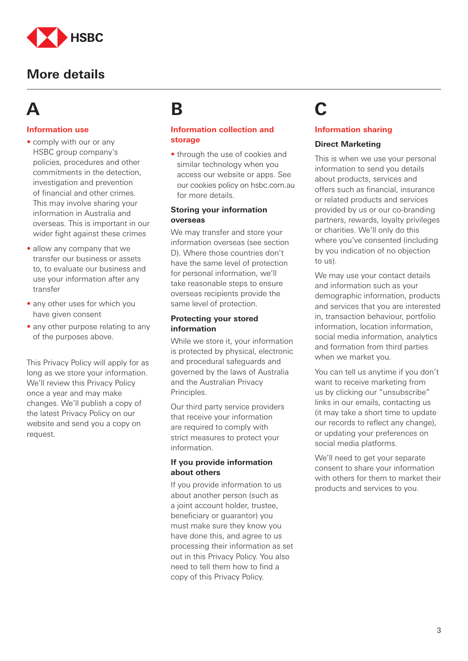

## **A**

#### **Information use**

- comply with our or any HSBC group company's policies, procedures and other commitments in the detection, investigation and prevention of financial and other crimes. This may involve sharing your information in Australia and overseas. This is important in our wider fight against these crimes
- allow any company that we transfer our business or assets to, to evaluate our business and use your information after any transfer
- any other uses for which you have given consent
- any other purpose relating to any of the purposes above.

This Privacy Policy will apply for as long as we store your information. We'll review this Privacy Policy once a year and may make changes. We'll publish a copy of the latest Privacy Policy on our website and send you a copy on request.

## **B**

#### **Information collection and storage**

• through the use of cookies and similar technology when you access our website or apps. See our cookies policy on hsbc.com.au for more details.

#### **Storing your information overseas**

We may transfer and store your information overseas (see section D). Where those countries don't have the same level of protection for personal information, we'll take reasonable steps to ensure overseas recipients provide the same level of protection.

#### **Protecting your stored information**

While we store it, your information is protected by physical, electronic and procedural safeguards and governed by the laws of Australia and the Australian Privacy Principles.

Our third party service providers that receive your information are required to comply with strict measures to protect your information.

#### **If you provide information about others**

If you provide information to us about another person (such as a joint account holder, trustee, beneficiary or guarantor) you must make sure they know you have done this, and agree to us processing their information as set out in this Privacy Policy. You also need to tell them how to find a copy of this Privacy Policy.

# **C**

#### **Information sharing**

#### **Direct Marketing**

This is when we use your personal information to send you details about products, services and offers such as financial, insurance or related products and services provided by us or our co-branding partners, rewards, loyalty privileges or charities. We'll only do this where you've consented (including by you indication of no objection to us).

We may use your contact details and information such as your demographic information, products and services that you are interested in, transaction behaviour, portfolio information, location information, social media information, analytics and formation from third parties when we market you.

You can tell us anytime if you don't want to receive marketing from us by clicking our "unsubscribe" links in our emails, contacting us (it may take a short time to update our records to reflect any change), or updating your preferences on social media platforms.

We'll need to get your separate consent to share your information with others for them to market their products and services to you.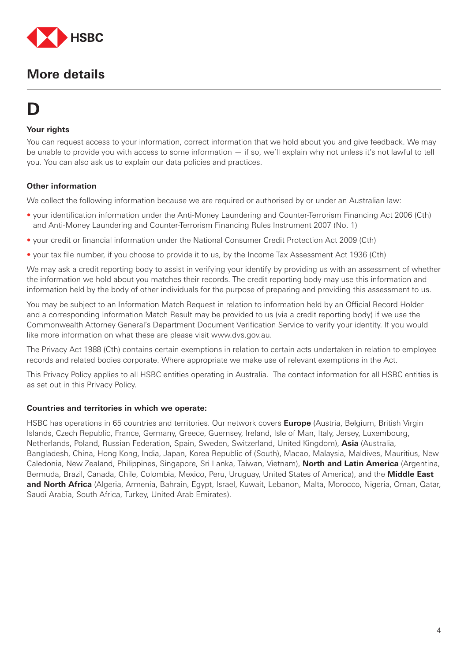

# **D**

#### **Your rights**

You can request access to your information, correct information that we hold about you and give feedback. We may be unable to provide you with access to some information — if so, we'll explain why not unless it's not lawful to tell you. You can also ask us to explain our data policies and practices.

#### **Other information**

We collect the following information because we are required or authorised by or under an Australian law:

- your identification information under the Anti-Money Laundering and Counter-Terrorism Financing Act 2006 (Cth) and Anti-Money Laundering and Counter-Terrorism Financing Rules Instrument 2007 (No. 1)
- your credit or financial information under the National Consumer Credit Protection Act 2009 (Cth)
- your tax file number, if you choose to provide it to us, by the Income Tax Assessment Act 1936 (Cth)

We may ask a credit reporting body to assist in verifying your identify by providing us with an assessment of whether the information we hold about you matches their records. The credit reporting body may use this information and information held by the body of other individuals for the purpose of preparing and providing this assessment to us.

You may be subject to an Information Match Request in relation to information held by an Official Record Holder and a corresponding Information Match Result may be provided to us (via a credit reporting body) if we use the Commonwealth Attorney General's Department Document Verification Service to verify your identity. If you would like more information on what these are please visit www.dvs.gov.au.

The Privacy Act 1988 (Cth) contains certain exemptions in relation to certain acts undertaken in relation to employee records and related bodies corporate. Where appropriate we make use of relevant exemptions in the Act.

This Privacy Policy applies to all HSBC entities operating in Australia. The contact information for all HSBC entities is as set out in this Privacy Policy.

#### **Countries and territories in which we operate:**

HSBC has operations in 65 countries and territories. Our network covers **Europe** (Austria, Belgium, British Virgin Islands, Czech Republic, France, Germany, Greece, Guernsey, Ireland, Isle of Man, Italy, Jersey, Luxembourg, Netherlands, Poland, Russian Federation, Spain, Sweden, Switzerland, United Kingdom), **Asia** (Australia, Bangladesh, China, Hong Kong, India, Japan, Korea Republic of (South), Macao, Malaysia, Maldives, Mauritius, New Caledonia, New Zealand, Philippines, Singapore, Sri Lanka, Taiwan, Vietnam), **North and Latin America** (Argentina, Bermuda, Brazil, Canada, Chile, Colombia, Mexico, Peru, Uruguay, United States of America), and the **Middle East and North Africa** (Algeria, Armenia, Bahrain, Egypt, Israel, Kuwait, Lebanon, Malta, Morocco, Nigeria, Oman, Qatar, Saudi Arabia, South Africa, Turkey, United Arab Emirates).